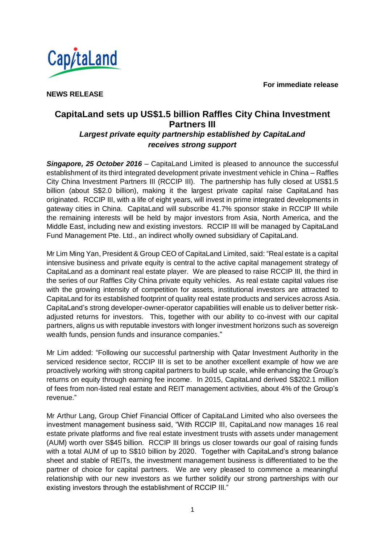**For immediate release**



**NEWS RELEASE**

## **CapitaLand sets up US\$1.5 billion Raffles City China Investment Partners III** *Largest private equity partnership established by CapitaLand receives strong support*

*Singapore, 25 October 2016* – CapitaLand Limited is pleased to announce the successful establishment of its third integrated development private investment vehicle in China – Raffles City China Investment Partners III (RCCIP III). The partnership has fully closed at US\$1.5 billion (about S\$2.0 billion), making it the largest private capital raise CapitaLand has originated. RCCIP III, with a life of eight years, will invest in prime integrated developments in gateway cities in China. CapitaLand will subscribe 41.7% sponsor stake in RCCIP III while the remaining interests will be held by major investors from Asia, North America, and the Middle East, including new and existing investors. RCCIP III will be managed by CapitaLand Fund Management Pte. Ltd., an indirect wholly owned subsidiary of CapitaLand.

Mr Lim Ming Yan, President & Group CEO of CapitaLand Limited, said: "Real estate is a capital intensive business and private equity is central to the active capital management strategy of CapitaLand as a dominant real estate player. We are pleased to raise RCCIP III, the third in the series of our Raffles City China private equity vehicles. As real estate capital values rise with the growing intensity of competition for assets, institutional investors are attracted to CapitaLand for its established footprint of quality real estate products and services across Asia. CapitaLand's strong developer-owner-operator capabilities will enable us to deliver better riskadjusted returns for investors. This, together with our ability to co-invest with our capital partners, aligns us with reputable investors with longer investment horizons such as sovereign wealth funds, pension funds and insurance companies."

Mr Lim added: "Following our successful partnership with Qatar Investment Authority in the serviced residence sector, RCCIP III is set to be another excellent example of how we are proactively working with strong capital partners to build up scale, while enhancing the Group's returns on equity through earning fee income. In 2015, CapitaLand derived S\$202.1 million of fees from non-listed real estate and REIT management activities, about 4% of the Group's revenue."

Mr Arthur Lang, Group Chief Financial Officer of CapitaLand Limited who also oversees the investment management business said, "With RCCIP III, CapitaLand now manages 16 real estate private platforms and five real estate investment trusts with assets under management (AUM) worth over S\$45 billion. RCCIP III brings us closer towards our goal of raising funds with a total AUM of up to S\$10 billion by 2020. Together with CapitaLand's strong balance sheet and stable of REITs, the investment management business is differentiated to be the partner of choice for capital partners. We are very pleased to commence a meaningful relationship with our new investors as we further solidify our strong partnerships with our existing investors through the establishment of RCCIP III."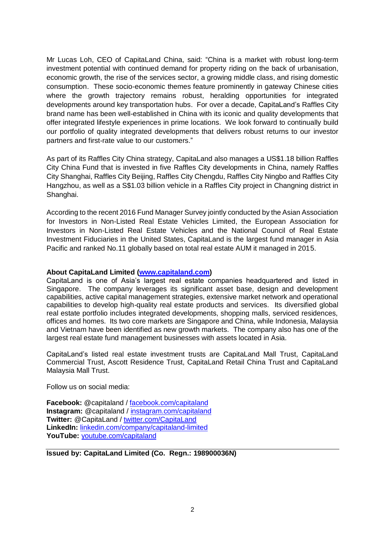Mr Lucas Loh, CEO of CapitaLand China, said: "China is a market with robust long-term investment potential with continued demand for property riding on the back of urbanisation, economic growth, the rise of the services sector, a growing middle class, and rising domestic consumption. These socio-economic themes feature prominently in gateway Chinese cities where the growth trajectory remains robust, heralding opportunities for integrated developments around key transportation hubs. For over a decade, CapitaLand's Raffles City brand name has been well-established in China with its iconic and quality developments that offer integrated lifestyle experiences in prime locations. We look forward to continually build our portfolio of quality integrated developments that delivers robust returns to our investor partners and first-rate value to our customers."

As part of its Raffles City China strategy, CapitaLand also manages a US\$1.18 billion Raffles City China Fund that is invested in five Raffles City developments in China, namely Raffles City Shanghai, Raffles City Beijing, Raffles City Chengdu, Raffles City Ningbo and Raffles City Hangzhou, as well as a S\$1.03 billion vehicle in a Raffles City project in Changning district in Shanghai.

According to the recent 2016 Fund Manager Survey jointly conducted by the Asian Association for Investors in Non-Listed Real Estate Vehicles Limited, the European Association for Investors in Non-Listed Real Estate Vehicles and the National Council of Real Estate Investment Fiduciaries in the United States, CapitaLand is the largest fund manager in Asia Pacific and ranked No.11 globally based on total real estate AUM it managed in 2015.

## **About CapitaLand Limited [\(www.capitaland.com\)](http://www.capitaland.com/)**

CapitaLand is one of Asia's largest real estate companies headquartered and listed in Singapore. The company leverages its significant asset base, design and development capabilities, active capital management strategies, extensive market network and operational capabilities to develop high-quality real estate products and services. Its diversified global real estate portfolio includes integrated developments, shopping malls, serviced residences, offices and homes. Its two core markets are Singapore and China, while Indonesia, Malaysia and Vietnam have been identified as new growth markets. The company also has one of the largest real estate fund management businesses with assets located in Asia.

CapitaLand's listed real estate investment trusts are CapitaLand Mall Trust, CapitaLand Commercial Trust, Ascott Residence Trust, CapitaLand Retail China Trust and CapitaLand Malaysia Mall Trust.

Follow us on social media:

**Facebook:** @capitaland / [facebook.com/capitaland](http://www.facebook.com/CapitaLand) **Instagram:** @capitaland / [instagram.com/capitaland](https://instagram.com/capitaland) **Twitter:** @CapitaLand / [twitter.com/CapitaLand](https://twitter.com/CapitaLand) **LinkedIn:** [linkedin.com/company/capitaland-limited](http://www.linkedin.com/company/capitaland-limited) YouTube: **[youtube.com/capitaland](http://www.youtube.com/CapitaLand)** 

**Issued by: CapitaLand Limited (Co. Regn.: 198900036N)**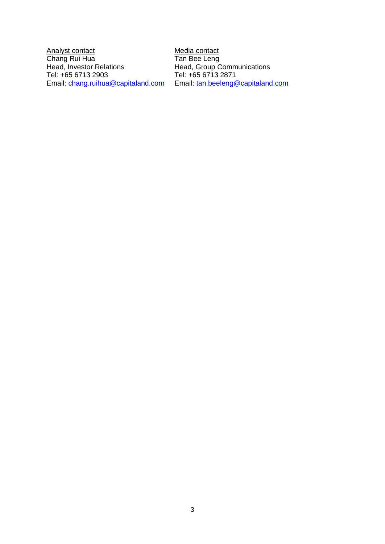Analyst contact **Media** contact Chang Rui Hua<br>Head, Investor Relations Tel: +65 6713 2903<br>Email: chang.ruihua@capitaland.com

Tan Bee Leng<br>Head, Group Communications<br>Tel: +65 6713 2871 Email: [tan.beeleng@capitaland.com](mailto:tan.beeleng@capitaland.com)